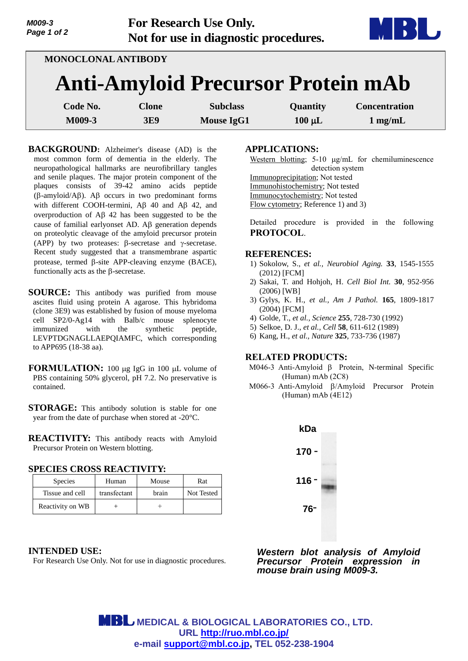| M009-3<br>Page 1 of 2 |              | <b>For Research Use Only.</b><br>Not for use in diagnostic procedures. |             | MI BB                |  |  |  |
|-----------------------|--------------|------------------------------------------------------------------------|-------------|----------------------|--|--|--|
| MONOCLONAL ANTIBODY   |              |                                                                        |             |                      |  |  |  |
|                       |              | <b>Anti-Amyloid Precursor Protein mAb</b>                              |             |                      |  |  |  |
| Code No.              | <b>Clone</b> | <b>Subclass</b>                                                        | Quantity    | <b>Concentration</b> |  |  |  |
| M009-3                | <b>3E9</b>   | <b>Mouse IgG1</b>                                                      | $100 \mu L$ | $1 \text{ mg/mL}$    |  |  |  |

**BACKGROUND:** Alzheimer's disease (AD) is the most common form of dementia in the elderly. The neuropathological hallmarks are neurofibrillary tangles and senile plaques. The major protein component of the plaques consists of 39-42 amino acids peptide  $(\beta$ -amyloid/A $\beta$ ). A $\beta$  occurs in two predominant forms with different COOH-termini,  $AB$  40 and  $AB$  42, and overproduction of  $\overrightarrow{AB}$  42 has been suggested to be the cause of familial earlyonset  $AD$ . A $\beta$  generation depends on proteolytic cleavage of the amyloid precursor protein (APP) by two proteases:  $\beta$ -secretase and  $\gamma$ -secretase. Recent study suggested that a transmembrane aspartic protease, termed  $\beta$ -site APP-cleaving enzyme (BACE), functionally acts as the  $\beta$ -secretase.

- **SOURCE:** This antibody was purified from mouse ascites fluid using protein A agarose. This hybridoma (clone 3E9) was established by fusion of mouse myeloma cell SP2/0-Ag14 with Balb/c mouse splenocyte immunized with the synthetic peptide, LEVPTDGNAGLLAEPQIAMFC, which corresponding to APP695 (18-38 aa).
- **FORMULATION:** 100 µg IgG in 100 µL volume of PBS containing 50% glycerol, pH 7.2. No preservative is contained.
- **STORAGE:** This antibody solution is stable for one year from the date of purchase when stored at -20°C.

**REACTIVITY:** This antibody reacts with Amyloid Precursor Protein on Western blotting.

#### **SPECIES CROSS REACTIVITY:**

| <b>Species</b>   | Human        | Mouse | Rat        |
|------------------|--------------|-------|------------|
| Tissue and cell  | transfectant | brain | Not Tested |
| Reactivity on WB |              |       |            |

# **INTENDED USE:**

For Research Use Only. Not for use in diagnostic procedures.

## **APPLICATIONS:**

Western blotting;  $5-10 \mu g/mL$  for chemiluminescence detection system Immunoprecipitation; Not tested Immunohistochemistry; Not tested Immunocytochemistry; Not tested Flow cytometry; Reference 1) and 3)

Detailed procedure is provided in the following **PROTOCOL**.

## **REFERENCES:**

- 1) [Sokolow,](http://www.ncbi.nlm.nih.gov/pubmed?term=Sokolow%20S%5BAuthor%5D&cauthor=true&cauthor_uid=21741125) S., *et al., Neurobiol Aging.* **33**, 1545-1555 (2012) [FCM]
- 2) [Sakai,](http://www.ncbi.nlm.nih.gov/pubmed?term=Sakai%20T%5BAuthor%5D&cauthor=true&cauthor_uid=16889988) T. and [Hohjoh,](http://www.ncbi.nlm.nih.gov/pubmed?term=Hohjoh%20H%5BAuthor%5D&cauthor=true&cauthor_uid=16889988) H. *Cell Biol Int.* **30**, 952-956 (2006) [WB]
- 3) Gylys, K. H., *et al., Am J Pathol.* **165**, 1809-1817 (2004) [FCM]
- 4) Golde, T., *et al., Science* **255**, 728-730 (1992)
- 5) Selkoe, D. J., *et al., Cell* **58**, 611-612 (1989)
- 6) Kang, H., *et al., Nature* **325**, 733-736 (1987)

## **RELATED PRODUCTS:**

- M046-3 Anti-Amyloid  $\beta$  Protein, N-terminal Specific (Human) mAb (2C8)
- M066-3 Anti-Amyloid  $\beta$ /Amyloid Precursor Protein (Human) mAb (4E12)



*Western blot analysis of Amyloid Precursor Protein expression in mouse brain using M009-3.* 

 **MEDICAL & BIOLOGICAL LABORATORIES CO., LTD. URL http://ruo.mbl.co.jp/ e-mail support@mbl.co.jp, TEL 052-238-1904**